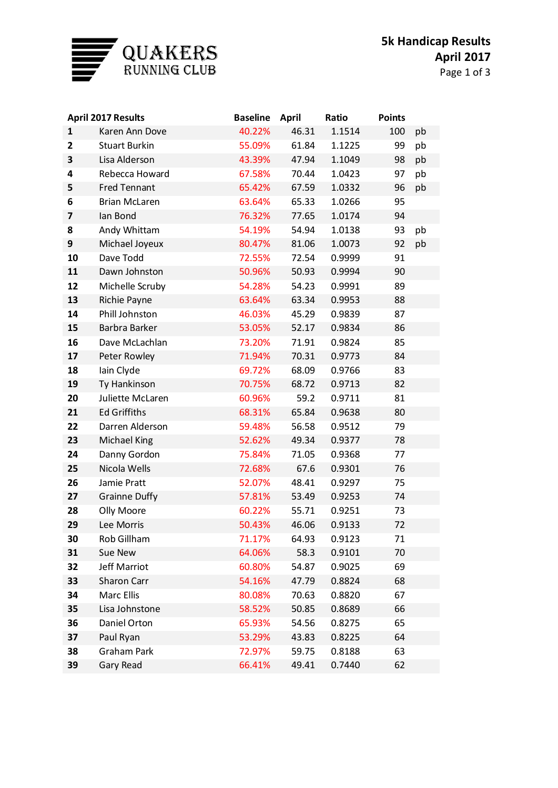

| <b>April 2017 Results</b> |                      | <b>Baseline</b> | April | Ratio  | <b>Points</b> |    |
|---------------------------|----------------------|-----------------|-------|--------|---------------|----|
| $\mathbf{1}$              | Karen Ann Dove       | 40.22%          | 46.31 | 1.1514 | 100           | pb |
| $\overline{2}$            | <b>Stuart Burkin</b> | 55.09%          | 61.84 | 1.1225 | 99            | pb |
| 3                         | Lisa Alderson        | 43.39%          | 47.94 | 1.1049 | 98            | pb |
| 4                         | Rebecca Howard       | 67.58%          | 70.44 | 1.0423 | 97            | pb |
| 5                         | <b>Fred Tennant</b>  | 65.42%          | 67.59 | 1.0332 | 96            | pb |
| 6                         | <b>Brian McLaren</b> | 63.64%          | 65.33 | 1.0266 | 95            |    |
| 7                         | Ian Bond             | 76.32%          | 77.65 | 1.0174 | 94            |    |
| 8                         | Andy Whittam         | 54.19%          | 54.94 | 1.0138 | 93            | pb |
| 9                         | Michael Joyeux       | 80.47%          | 81.06 | 1.0073 | 92            | pb |
| 10                        | Dave Todd            | 72.55%          | 72.54 | 0.9999 | 91            |    |
| 11                        | Dawn Johnston        | 50.96%          | 50.93 | 0.9994 | 90            |    |
| 12                        | Michelle Scruby      | 54.28%          | 54.23 | 0.9991 | 89            |    |
| 13                        | Richie Payne         | 63.64%          | 63.34 | 0.9953 | 88            |    |
| 14                        | Phill Johnston       | 46.03%          | 45.29 | 0.9839 | 87            |    |
| 15                        | <b>Barbra Barker</b> | 53.05%          | 52.17 | 0.9834 | 86            |    |
| 16                        | Dave McLachlan       | 73.20%          | 71.91 | 0.9824 | 85            |    |
| 17                        | Peter Rowley         | 71.94%          | 70.31 | 0.9773 | 84            |    |
| 18                        | lain Clyde           | 69.72%          | 68.09 | 0.9766 | 83            |    |
| 19                        | Ty Hankinson         | 70.75%          | 68.72 | 0.9713 | 82            |    |
| 20                        | Juliette McLaren     | 60.96%          | 59.2  | 0.9711 | 81            |    |
| 21                        | <b>Ed Griffiths</b>  | 68.31%          | 65.84 | 0.9638 | 80            |    |
| 22                        | Darren Alderson      | 59.48%          | 56.58 | 0.9512 | 79            |    |
| 23                        | <b>Michael King</b>  | 52.62%          | 49.34 | 0.9377 | 78            |    |
| 24                        | Danny Gordon         | 75.84%          | 71.05 | 0.9368 | 77            |    |
| 25                        | Nicola Wells         | 72.68%          | 67.6  | 0.9301 | 76            |    |
| 26                        | Jamie Pratt          | 52.07%          | 48.41 | 0.9297 | 75            |    |
| 27                        | <b>Grainne Duffy</b> | 57.81%          | 53.49 | 0.9253 | 74            |    |
| 28                        | Olly Moore           | 60.22%          | 55.71 | 0.9251 | 73            |    |
| 29                        | Lee Morris           | 50.43%          | 46.06 | 0.9133 | 72            |    |
| 30                        | Rob Gillham          | 71.17%          | 64.93 | 0.9123 | 71            |    |
| 31                        | Sue New              | 64.06%          | 58.3  | 0.9101 | 70            |    |
| 32                        | <b>Jeff Marriot</b>  | 60.80%          | 54.87 | 0.9025 | 69            |    |
| 33                        | Sharon Carr          | 54.16%          | 47.79 | 0.8824 | 68            |    |
| 34                        | Marc Ellis           | 80.08%          | 70.63 | 0.8820 | 67            |    |
| 35                        | Lisa Johnstone       | 58.52%          | 50.85 | 0.8689 | 66            |    |
| 36                        | Daniel Orton         | 65.93%          | 54.56 | 0.8275 | 65            |    |
| 37                        | Paul Ryan            | 53.29%          | 43.83 | 0.8225 | 64            |    |
| 38                        | <b>Graham Park</b>   | 72.97%          | 59.75 | 0.8188 | 63            |    |
| 39                        | <b>Gary Read</b>     | 66.41%          | 49.41 | 0.7440 | 62            |    |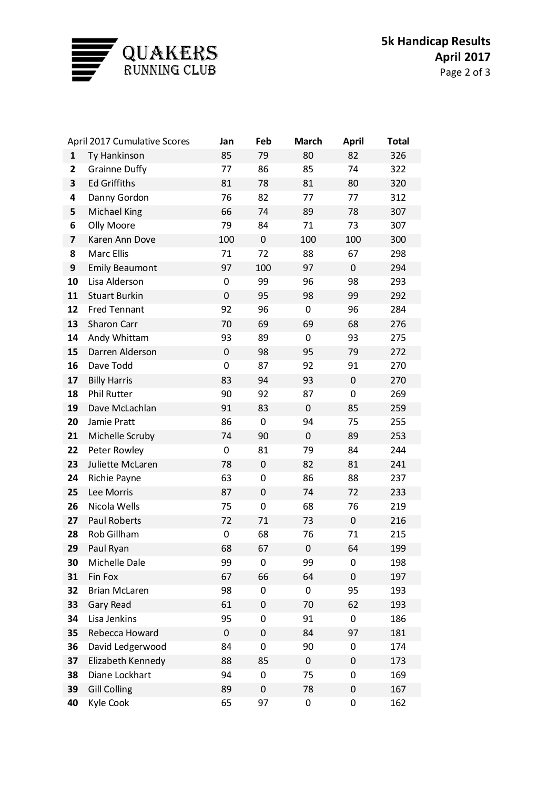

|                         | <b>April 2017 Cumulative Scores</b> |             | Feb       | <b>March</b> | <b>April</b> | <b>Total</b> |
|-------------------------|-------------------------------------|-------------|-----------|--------------|--------------|--------------|
| $\mathbf{1}$            | Ty Hankinson                        | 85          | 79        | 80           | 82           | 326          |
| $\mathbf{2}$            | <b>Grainne Duffy</b>                | 77          | 86        | 85           | 74           | 322          |
| 3                       | <b>Ed Griffiths</b>                 | 81          | 78        | 81           | 80           | 320          |
| 4                       | Danny Gordon                        | 76          | 82        | 77           | 77           | 312          |
| 5                       | <b>Michael King</b>                 | 66          | 74        | 89           | 78           | 307          |
| 6                       | Olly Moore                          | 79          | 84        | 71           | 73           | 307          |
| $\overline{\mathbf{z}}$ | Karen Ann Dove                      | 100         | $\pmb{0}$ | 100          | 100          | 300          |
| 8                       | Marc Ellis                          | 71          | 72        | 88           | 67           | 298          |
| 9                       | <b>Emily Beaumont</b>               | 97          | 100       | 97           | $\pmb{0}$    | 294          |
| 10                      | Lisa Alderson                       | 0           | 99        | 96           | 98           | 293          |
| 11                      | <b>Stuart Burkin</b>                | $\mathbf 0$ | 95        | 98           | 99           | 292          |
| 12                      | <b>Fred Tennant</b>                 | 92          | 96        | 0            | 96           | 284          |
| 13                      | Sharon Carr                         | 70          | 69        | 69           | 68           | 276          |
| 14                      | Andy Whittam                        | 93          | 89        | 0            | 93           | 275          |
| 15                      | Darren Alderson                     | $\pmb{0}$   | 98        | 95           | 79           | 272          |
| 16                      | Dave Todd                           | 0           | 87        | 92           | 91           | 270          |
| 17                      | <b>Billy Harris</b>                 | 83          | 94        | 93           | $\pmb{0}$    | 270          |
| 18                      | <b>Phil Rutter</b>                  | 90          | 92        | 87           | 0            | 269          |
| 19                      | Dave McLachlan                      | 91          | 83        | $\pmb{0}$    | 85           | 259          |
| 20                      | Jamie Pratt                         | 86          | 0         | 94           | 75           | 255          |
| 21                      | Michelle Scruby                     | 74          | 90        | $\mathbf 0$  | 89           | 253          |
| 22                      | Peter Rowley                        | 0           | 81        | 79           | 84           | 244          |
| 23                      | Juliette McLaren                    | 78          | $\pmb{0}$ | 82           | 81           | 241          |
| 24                      | Richie Payne                        | 63          | 0         | 86           | 88           | 237          |
| 25                      | Lee Morris                          | 87          | $\pmb{0}$ | 74           | 72           | 233          |
| 26                      | Nicola Wells                        | 75          | 0         | 68           | 76           | 219          |
| 27                      | <b>Paul Roberts</b>                 | 72          | 71        | 73           | $\pmb{0}$    | 216          |
| 28                      | Rob Gillham                         | 0           | 68        | 76           | 71           | 215          |
| 29                      | Paul Ryan                           | 68          | 67        | $\mathbf 0$  | 64           | 199          |
| 30                      | Michelle Dale                       | 99          | 0         | 99           | 0            | 198          |
| 31                      | Fin Fox                             | 67          | 66        | 64           | 0            | 197          |
| 32                      | <b>Brian McLaren</b>                | 98          | 0         | 0            | 95           | 193          |
| 33                      | Gary Read                           | 61          | 0         | 70           | 62           | 193          |
| 34                      | Lisa Jenkins                        | 95          | 0         | 91           | 0            | 186          |
| 35                      | Rebecca Howard                      | 0           | 0         | 84           | 97           | 181          |
| 36                      | David Ledgerwood                    | 84          | 0         | 90           | 0            | 174          |
| 37                      | Elizabeth Kennedy                   | 88          | 85        | $\pmb{0}$    | 0            | 173          |
| 38                      | Diane Lockhart                      | 94          | 0         | 75           | 0            | 169          |
| 39                      | <b>Gill Colling</b>                 | 89          | 0         | 78           | 0            | 167          |
| 40                      | Kyle Cook                           | 65          | 97        | 0            | 0            | 162          |